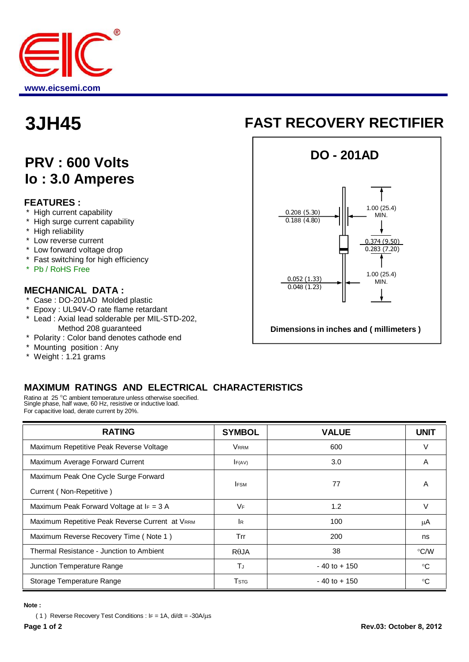

# **PRV : 600 Volts Io : 3.0 Amperes**

### **FEATURES :**

- High current capability
- \* High surge current capability
- \* High reliability
- \* Low reverse current
- \* Low forward voltage drop
- \* Fast switching for high efficiency
- \* Pb / RoHS Free

#### **MECHANICAL DATA :**

- \* Case : DO-201AD Molded plastic
- \* Epoxy : UL94V-O rate flame retardant
- Lead : Axial lead solderable per MIL-STD-202, Method 208 guaranteed
- \* Polarity : Color band denotes cathode end
- \* Mounting position : Any
- \* Weight : 1.21 grams

# **3JH45 FAST RECOVERY RECTIFIER**



## **MAXIMUM RATINGS AND ELECTRICAL CHARACTERISTICS**

Rating at 25 °C ambient temperature unless otherwise specified.<br>Single phase, half wave, 60 Hz, resistive or inductive load. For capacitive load, derate current by 20%.

| <b>RATING</b>                                                    | <b>SYMBOL</b>           | <b>VALUE</b>    | <b>UNIT</b>   |
|------------------------------------------------------------------|-------------------------|-----------------|---------------|
| Maximum Repetitive Peak Reverse Voltage                          | <b>VRRM</b>             | 600             | V             |
| Maximum Average Forward Current                                  | F(AV)                   | 3.0             | A             |
| Maximum Peak One Cycle Surge Forward<br>Current (Non-Repetitive) | <b>IFSM</b>             | 77              | A             |
| Maximum Peak Forward Voltage at IF = 3 A                         | VF                      | 1.2             | V             |
| Maximum Repetitive Peak Reverse Current at VRRM                  | IR                      | 100             | μA            |
| Maximum Reverse Recovery Time (Note 1)                           | Trr                     | 200             | ns            |
| Thermal Resistance - Junction to Ambient                         | $R\theta$ JA            | 38              | $\degree$ C/W |
| Junction Temperature Range                                       | TJ                      | $-40$ to $+150$ | $^{\circ}C$   |
| Storage Temperature Range                                        | <b>T</b> <sub>STG</sub> | - 40 to + 150   | $^{\circ}C$   |

**Note :**

( 1 ) Reverse Recovery Test Conditions : IF = 1A, di/dt = -30A/μs